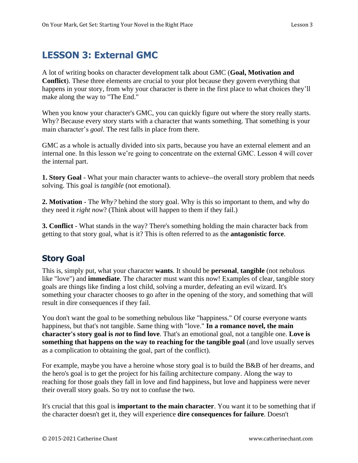# **LESSON 3: External GMC**

A lot of writing books on character development talk about GMC (**Goal, Motivation and Conflict**). These three elements are crucial to your plot because they govern everything that happens in your story, from why your character is there in the first place to what choices they'll make along the way to "The End."

When you know your character's GMC, you can quickly figure out where the story really starts. Why? Because every story starts with a character that wants something. That something is your main character's *goal*. The rest falls in place from there.

GMC as a whole is actually divided into six parts, because you have an external element and an internal one. In this lesson we're going to concentrate on the external GMC. Lesson 4 will cover the internal part.

**1. Story Goal** - What your main character wants to achieve--the overall story problem that needs solving. This goal is *tangible* (not emotional).

**2. Motivation** - The *Why?* behind the story goal. Why is this so important to them, and why do they need it *right now*? (Think about will happen to them if they fail.)

**3. Conflict** - What stands in the way? There's something holding the main character back from getting to that story goal, what is it? This is often referred to as the **antagonistic force**.

### **Story Goal**

This is, simply put, what your character **wants**. It should be **personal**, **tangible** (not nebulous like "love") and **immediate**. The character must want this now! Examples of clear, tangible story goals are things like finding a lost child, solving a murder, defeating an evil wizard. It's something your character chooses to go after in the opening of the story, and something that will result in dire consequences if they fail.

You don't want the goal to be something nebulous like "happiness." Of course everyone wants happiness, but that's not tangible. Same thing with "love." **In a romance novel, the main character's story goal is** *not* **to find love**. That's an emotional goal, not a tangible one. **Love is something that happens on the way to reaching for the tangible goal** (and love usually serves as a complication to obtaining the goal, part of the conflict).

For example, maybe you have a heroine whose story goal is to build the B&B of her dreams, and the hero's goal is to get the project for his failing architecture company. Along the way to reaching for those goals they fall in love and find happiness, but love and happiness were never their overall story goals. So try not to confuse the two.

It's crucial that this goal is **important to the main character**. You want it to be something that if the character doesn't get it, they will experience **dire consequences for failure**. Doesn't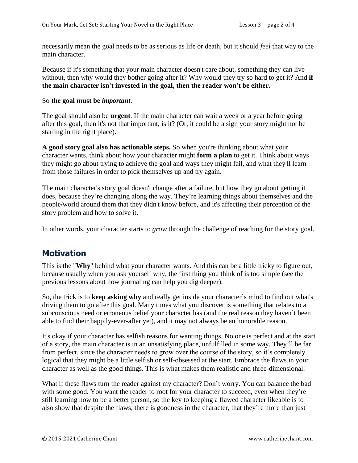necessarily mean the goal needs to be as serious as life or death, but it should *feel* that way to the main character.

Because if it's something that your main character doesn't care about, something they can live without, then why would they bother going after it? Why would they try so hard to get it? And **if the main character isn't invested in the goal, then the reader won't be either.** 

#### So **the goal must be** *important*.

The goal should also be **urgent**. If the main character can wait a week or a year before going after this goal, then it's not that important, is it? (Or, it could be a sign your story might not be starting in the right place).

**A good story goal also has actionable steps.** So when you're thinking about what your character wants, think about how your character might **form a plan** to get it. Think about ways they might go about trying to achieve the goal and ways they might fail, and what they'll learn from those failures in order to pick themselves up and try again.

The main character's story goal doesn't change after a failure, but how they go about getting it does, because they're changing along the way. They're learning things about themselves and the people/world around them that they didn't know before, and it's affecting their perception of the story problem and how to solve it.

In other words, your character starts to *grow* through the challenge of reaching for the story goal.

### **Motivation**

This is the "**Why**" behind what your character wants. And this can be a little tricky to figure out, because usually when you ask yourself why, the first thing you think of is too simple (see the previous lessons about how journaling can help you dig deeper).

So, the trick is to **keep asking why** and really get inside your character's mind to find out what's driving them to go after this goal. Many times what you discover is something that relates to a subconscious need or erroneous belief your character has (and the real reason they haven't been able to find their happily-ever-after yet), and it may not always be an honorable reason.

It's okay if your character has selfish reasons for wanting things. No one is perfect and at the start of a story, the main character is in an unsatisfying place, unfulfilled in some way. They'll be far from perfect, since the character needs to grow over the course of the story, so it's completely logical that they might be a little selfish or self-obsessed at the start. Embrace the flaws in your character as well as the good things. This is what makes them realistic and three-dimensional.

What if these flaws turn the reader against my character? Don't worry. You can balance the bad with some good. You want the reader to root for your character to succeed, even when they're still learning how to be a better person, so the key to keeping a flawed character likeable is to also show that despite the flaws, there is goodness in the character, that they're more than just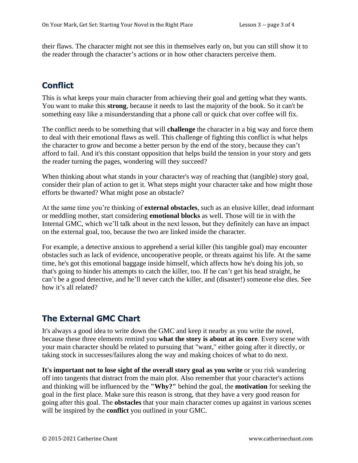their flaws. The character might not see this in themselves early on, but you can still show it to the reader through the character's actions or in how other characters perceive them.

# **Conflict**

This is what keeps your main character from achieving their goal and getting what they wants. You want to make this **strong**, because it needs to last the majority of the book. So it can't be something easy like a misunderstanding that a phone call or quick chat over coffee will fix.

The conflict needs to be something that will **challenge** the character in a big way and force them to deal with their emotional flaws as well. This challenge of fighting this conflict is what helps the character to grow and become a better person by the end of the story, because they can't afford to fail. And it's this constant opposition that helps build the tension in your story and gets the reader turning the pages, wondering will they succeed?

When thinking about what stands in your character's way of reaching that (tangible) story goal, consider their plan of action to get it. What steps might your character take and how might those efforts be thwarted? What might pose an obstacle?

At the same time you're thinking of **external obstacles**, such as an elusive killer, dead informant or meddling mother, start considering **emotional blocks** as well. Those will tie in with the Internal GMC, which we'll talk about in the next lesson, but they definitely can have an impact on the external goal, too, because the two are linked inside the character.

For example, a detective anxious to apprehend a serial killer (his tangible goal) may encounter obstacles such as lack of evidence, uncooperative people, or threats against his life. At the same time, he's got this emotional baggage inside himself, which affects how he's doing his job, so that's going to hinder his attempts to catch the killer, too. If he can't get his head straight, he can't be a good detective, and he'll never catch the killer, and (disaster!) someone else dies. See how it's all related?

## **The External GMC Chart**

It's always a good idea to write down the GMC and keep it nearby as you write the novel, because these three elements remind you **what the story is about at its core**. Every scene with your main character should be related to pursuing that "want," either going after it directly, or taking stock in successes/failures along the way and making choices of what to do next.

**It's important not to lose sight of the overall story goal as you write** or you risk wandering off into tangents that distract from the main plot. Also remember that your character's actions and thinking will be influenced by the **"Why?"** behind the goal, the **motivation** for seeking the goal in the first place. Make sure this reason is strong, that they have a very good reason for going after this goal. The **obstacles** that your main character comes up against in various scenes will be inspired by the **conflict** you outlined in your GMC.